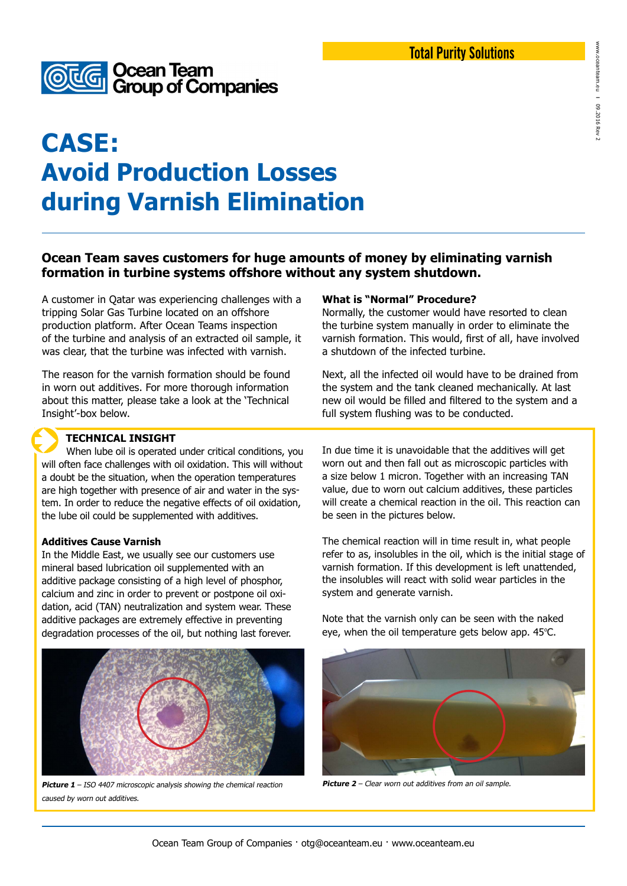

# **CASE: Avoid Production Losses during Varnish Elimination**

# **Ocean Team saves customers for huge amounts of money by eliminating varnish formation in turbine systems offshore without any system shutdown.**

A customer in Qatar was experiencing challenges with a tripping Solar Gas Turbine located on an offshore production platform. After Ocean Teams inspection of the turbine and analysis of an extracted oil sample, it was clear, that the turbine was infected with varnish.

The reason for the varnish formation should be found in worn out additives. For more thorough information about this matter, please take a look at the 'Technical Insight'-box below.

### **TECHNICAL INSIGHT**

 When lube oil is operated under critical conditions, you will often face challenges with oil oxidation. This will without a doubt be the situation, when the operation temperatures are high together with presence of air and water in the system. In order to reduce the negative effects of oil oxidation, the lube oil could be supplemented with additives.

### **Additives Cause Varnish**

In the Middle East, we usually see our customers use mineral based lubrication oil supplemented with an additive package consisting of a high level of phosphor, calcium and zinc in order to prevent or postpone oil oxidation, acid (TAN) neutralization and system wear. These additive packages are extremely effective in preventing degradation processes of the oil, but nothing last forever.



**Picture 1** – ISO 4407 microscopic analysis showing the chemical reaction caused by worn out additives.

### **What is "Normal" Procedure?**

Normally, the customer would have resorted to clean the turbine system manually in order to eliminate the varnish formation. This would, first of all, have involved a shutdown of the infected turbine.

Next, all the infected oil would have to be drained from the system and the tank cleaned mechanically. At last new oil would be filled and filtered to the system and a full system flushing was to be conducted.

In due time it is unavoidable that the additives will get worn out and then fall out as microscopic particles with a size below 1 micron. Together with an increasing TAN value, due to worn out calcium additives, these particles will create a chemical reaction in the oil. This reaction can be seen in the pictures below.

The chemical reaction will in time result in, what people refer to as, insolubles in the oil, which is the initial stage of varnish formation. If this development is left unattended, the insolubles will react with solid wear particles in the system and generate varnish.

Note that the varnish only can be seen with the naked eye, when the oil temperature gets below app.  $45^{\circ}$ C.



**Picture 2** – Clear worn out additives from an oil sample.